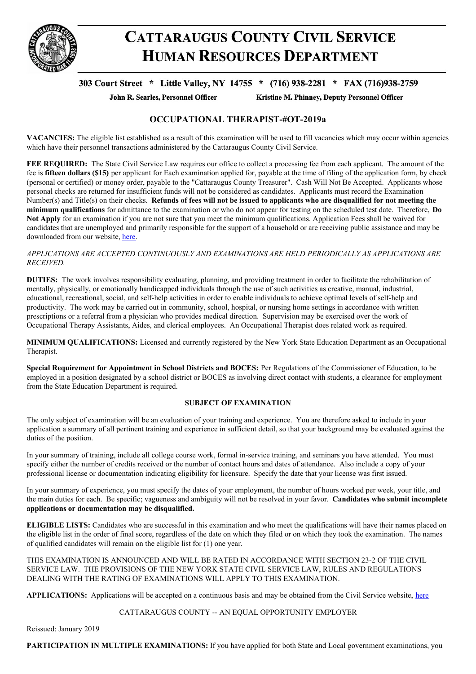

# **CATTARAUGUS COUNTY CIVIL SERVICE HUMAN RESOURCES DEPARTMENT**

# 303 Court Street \* Little Valley, NY 14755 \* (716) 938-2281 \* FAX (716)938-2759

John R. Searles, Personnel Officer

Kristine M. Phinney, Deputy Personnel Officer

## **OCCUPATIONAL THERAPIST-#OT-2019a**

**VACANCIES:** The eligible list established as a result of this examination will be used to fill vacancies which may occur within agencies which have their personnel transactions administered by the Cattaraugus County Civil Service.

**FEE REQUIRED:** The State Civil Service Law requires our office to collect a processing fee from each applicant. The amount of the fee is **fifteen dollars (\$15)** per applicant for Each examination applied for, payable at the time of filing of the application form, by check (personal or certified) or money order, payable to the "Cattaraugus County Treasurer". Cash Will Not Be Accepted. Applicants whose personal checks are returned for insufficient funds will not be considered as candidates. Applicants must record the Examination Number(s) and Title(s) on their checks. Refunds of fees will not be issued to applicants who are disqualified for not meeting the **minimum qualifications** for admittance to the examination or who do not appear for testing on the scheduled test date. Therefore, **Do Not Apply** for an examination if you are not sure that you meet the minimum qualifications. Application Fees shall be waived for candidates that are unemployed and primarily responsible for the support of a household or are receiving public assistance and may be downloaded from our website, [here](https://www.cattco.org/human-resources/exam-info).

#### *APPLICATIONS ARE ACCEPTED CONTINUOUSLY AND EXAMINATIONS ARE HELD PERIODICALLY AS APPLICATIONS ARE RECEIVED.*

**DUTIES:** The work involves responsibility evaluating, planning, and providing treatment in order to facilitate the rehabilitation of mentally, physically, or emotionally handicapped individuals through the use of such activities as creative, manual, industrial, educational, recreational, social, and self-help activities in order to enable individuals to achieve optimal levels of self-help and productivity. The work may be carried out in community, school, hospital, or nursing home settings in accordance with written prescriptions or a referral from a physician who provides medical direction. Supervision may be exercised over the work of Occupational Therapy Assistants, Aides, and clerical employees. An Occupational Therapist does related work as required.

**MINIMUM QUALIFICATIONS:** Licensed and currently registered by the New York State Education Department as an Occupational Therapist.

**Special Requirement for Appointment in School Districts and BOCES:** Per Regulations of the Commissioner of Education, to be employed in a position designated by a school district or BOCES as involving direct contact with students, a clearance for employment from the State Education Department is required.

## **SUBJECT OF EXAMINATION**

The only subject of examination will be an evaluation of your training and experience. You are therefore asked to include in your application a summary of all pertinent training and experience in sufficient detail, so that your background may be evaluated against the duties of the position.

In your summary of training, include all college course work, formal in-service training, and seminars you have attended. You must specify either the number of credits received or the number of contact hours and dates of attendance. Also include a copy of your professional license or documentation indicating eligibility for licensure. Specify the date that your license was first issued.

In your summary of experience, you must specify the dates of your employment, the number of hours worked per week, your title, and the main duties for each. Be specific; vagueness and ambiguity will not be resolved in your favor. **Candidates who submit incomplete applications or documentation may be disqualified.**

**ELIGIBLE LISTS:** Candidates who are successful in this examination and who meet the qualifications will have their names placed on the eligible list in the order of final score, regardless of the date on which they filed or on which they took the examination. The names of qualified candidates will remain on the eligible list for (1) one year.

THIS EXAMINATION IS ANNOUNCED AND WILL BE RATED IN ACCORDANCE WITH SECTION 23-2 OF THE CIVIL SERVICE LAW. THE PROVISIONS OF THE NEW YORK STATE CIVIL SERVICE LAW, RULES AND REGULATIONS DEALING WITH THE RATING OF EXAMINATIONS WILL APPLY TO THIS EXAMINATION.

**APPLICATIONS:** Applications will be accepted on a continuous basis and may be obtained from the Civil Service website, [here](https://www.cattco.org/human-resources/exam-info#application)

## CATTARAUGUS COUNTY -- AN EQUAL OPPORTUNITY EMPLOYER

Reissued: January 2019

**PARTICIPATION IN MULTIPLE EXAMINATIONS:** If you have applied for both State and Local government examinations, you